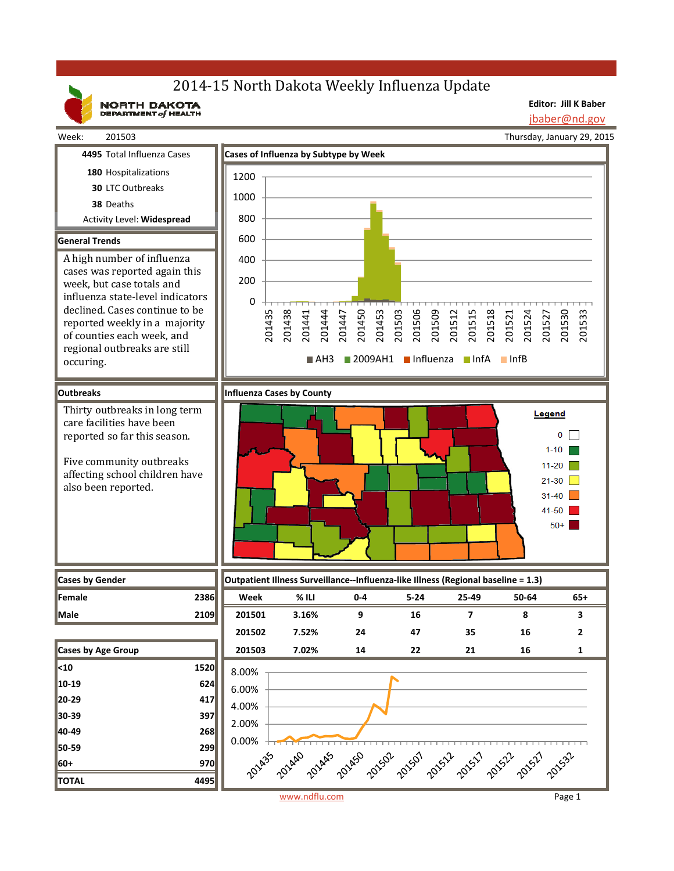# 2014-15 North Dakota Weekly Influenza Update

NORTH DAKOTA

**Editor: Jill K Baber**

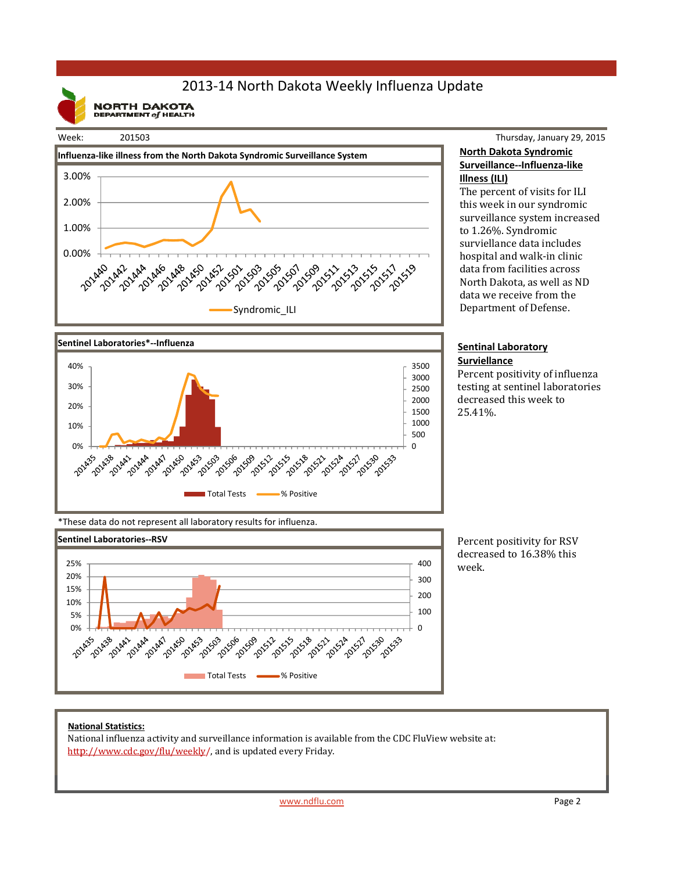## 2013‐14 North Dakota Weekly Influenza Update

**NORTH DAKOTA**<br>DEPARTMENT of HEALTH







Thursday, January 29, 2015 **North Dakota Syndromic Surveillance‐‐Influenza‐like Illness (ILI)**

The percent of visits for ILI this week in our syndromic surveillance system increased to 1.26%. Syndromic surviellance data includes hospital and walk-in clinic data from facilities across North Dakota, as well as ND data we receive from the Department of Defense.

#### **Sentinal Laboratory Surviellance**

Percent positivity of influenza testing at sentinel laboratories decreased this week to 25.41%. 

\*These data do not represent all laboratory results for influenza.



Percent positivity for RSV decreased to 16.38% this week. 

### **National Statistics:**

National influenza activity and surveillance information is available from the CDC FluView website at: http://www.cdc.gov/flu/weekly/, and is updated every Friday.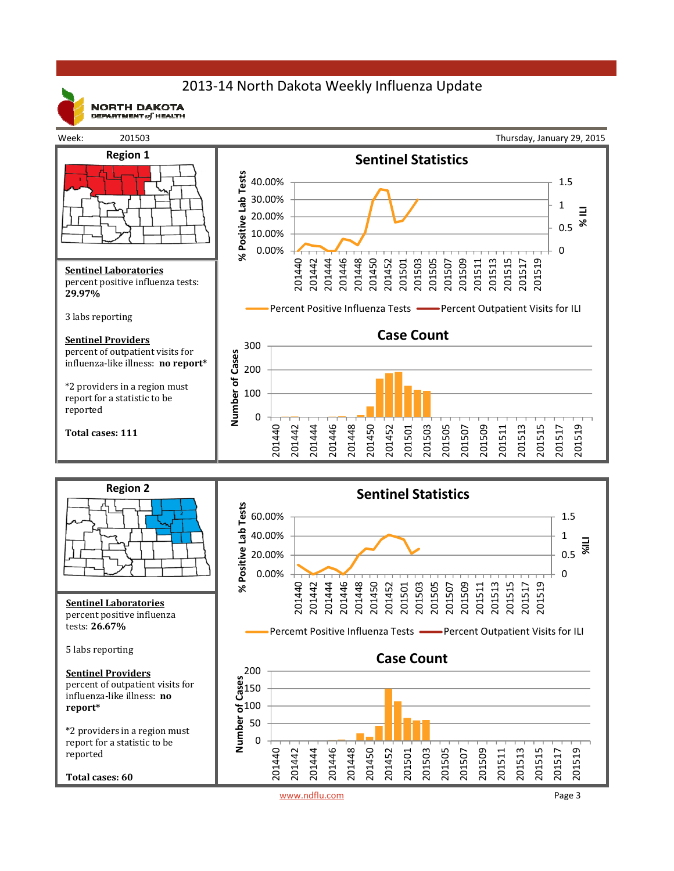## 2013‐14 North Dakota Weekly Influenza Update



**NORTH DAKOTA** DEPARTMENT  $of$  HEALTH